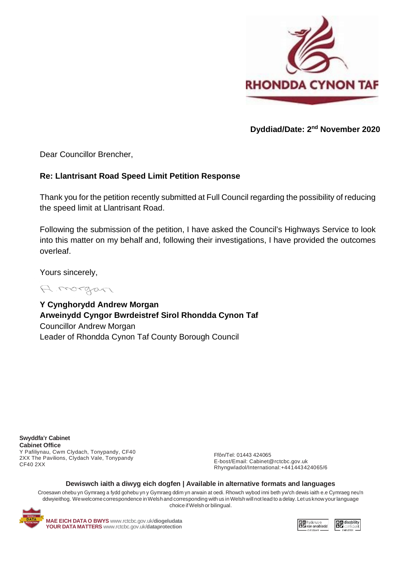

**Dyddiad/Date: 2nd November 2020**

Dear Councillor Brencher,

## **Re: Llantrisant Road Speed Limit Petition Response**

Thank you for the petition recently submitted at Full Council regarding the possibility of reducing the speed limit at Llantrisant Road.

Following the submission of the petition, I have asked the Council's Highways Service to look into this matter on my behalf and, following their investigations, I have provided the outcomes overleaf.

Yours sincerely,

A morgan

**Y Cynghorydd Andrew Morgan Arweinydd Cyngor Bwrdeistref Sirol Rhondda Cynon Taf**  Councillor Andrew Morgan Leader of Rhondda Cynon Taf County Borough Council

**Swyddfa'r Cabinet Cabinet Office** Y Pafiliynau, Cwm Clydach, Tonypandy, CF40 2XX The Pavilions, Clydach Vale, Tonypandy CF40 2XX

Ffôn/Tel: 01443 424065 E-bost/Email: [Cabinet@rctcbc.gov.uk](mailto:Cabinet@rctcbc.gov.uk) Rhyngwladol/International:+441443424065/6

## **Dewiswch iaith a diwyg eich dogfen | Available in alternative formats and languages**

Croesawn ohebu yn Gymraeg a fydd gohebu yn y Gymraeg ddim yn arwain at oedi. Rhowch wybod inni beth yw'ch dewis iaith e.e Cymraeg neu'n ddwyieithog. Wewelcomecorrespondence inWelsh and corresponding with us inWelshwill not lead to a delay.Let us know yourlanguage choice ifWelsh or bilingual.



**MAE EICH DATA O BWYS** [www.rctcbc.gov.uk/](http://www.rctcbc.gov.uk/diogeludata)**diogeludata YOUR DATA MATTERS** [www.rctcbc.gov.uk/](http://www.rctcbc.gov.uk/dataprotection)**dataprotection**